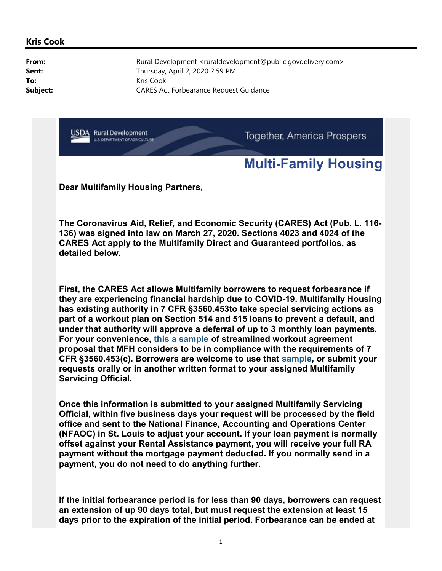## Multi-Family Housing

Dear Multifamily Housing Partners,

The Coronavirus Aid, Relief, and Economic Security (CARES) Act (Pub. L. 116- 136) was signed into law on March 27, 2020. Sections 4023 and 4024 of the CARES Act apply to the Multifamily Direct and Guaranteed portfolios, as detailed below.

First, the CARES Act allows Multifamily borrowers to request forbearance if they are experiencing financial hardship due to COVID-19. Multifamily Housing has existing authority in 7 CFR §3560.453to take special servicing actions as part of a workout plan on Section 514 and 515 loans to prevent a default, and under that authority will approve a deferral of up to 3 monthly loan payments. For your convenience, this a sample of streamlined workout agreement proposal that MFH considers to be in compliance with the requirements of 7 CFR §3560.453(c). Borrowers are welcome to use that sample, or submit your requests orally or in another written format to your assigned Multifamily Servicing Official.

Once this information is submitted to your assigned Multifamily Servicing Official, within five business days your request will be processed by the field office and sent to the National Finance, Accounting and Operations Center (NFAOC) in St. Louis to adjust your account. If your loan payment is normally offset against your Rental Assistance payment, you will receive your full RA payment without the mortgage payment deducted. If you normally send in a payment, you do not need to do anything further.

If the initial forbearance period is for less than 90 days, borrowers can request an extension of up 90 days total, but must request the extension at least 15 days prior to the expiration of the initial period. Forbearance can be ended at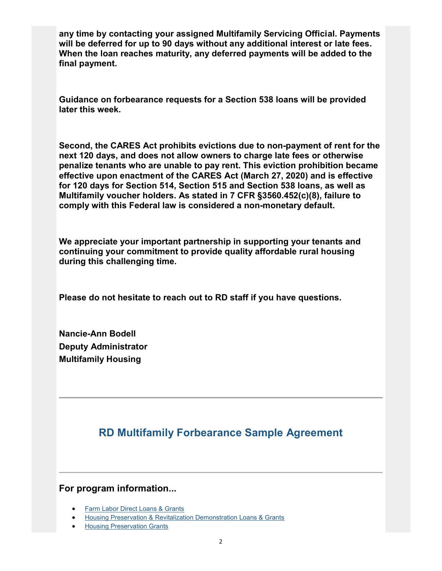any time by contacting your assigned Multifamily Servicing Official. Payments will be deferred for up to 90 days without any additional interest or late fees. When the loan reaches maturity, any deferred payments will be added to the final payment.

Guidance on forbearance requests for a Section 538 loans will be provided later this week.

Second, the CARES Act prohibits evictions due to non-payment of rent for the next 120 days, and does not allow owners to charge late fees or otherwise penalize tenants who are unable to pay rent. This eviction prohibition became effective upon enactment of the CARES Act (March 27, 2020) and is effective for 120 days for Section 514, Section 515 and Section 538 loans, as well as Multifamily voucher holders. As stated in 7 CFR §3560.452(c)(8), failure to comply with this Federal law is considered a non-monetary default.

We appreciate your important partnership in supporting your tenants and continuing your commitment to provide quality affordable rural housing during this challenging time.

Please do not hesitate to reach out to RD staff if you have questions.

Nancie-Ann Bodell Deputy Administrator Multifamily Housing

## RD Multifamily Forbearance Sample Agreement

## For program information...

- Farm Labor Direct Loans & Grants
- Housing Preservation & Revitalization Demonstration Loans & Grants
- Housing Preservation Grants